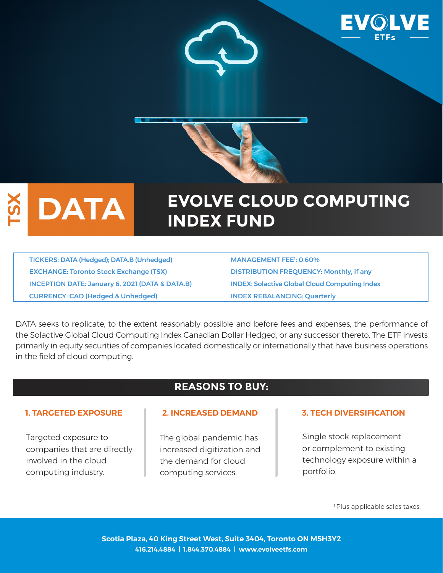

# **DATA**

# **EVOLVE CLOUD COMPUTING INDEX FUND**

TICKERS: DATA (Hedged); DATA.B (Unhedged) EXCHANGE: Toronto Stock Exchange (TSX) DISTRIBUTION FREQUENCY: Monthly, if any INCEPTION DATE: January 6, 2021 (DATA & DATA.B) INDEX: Solactive Global Cloud Computing Index CURRENCY: CAD (Hedged & Unhedged) INDEX REBALANCING: Quarterly

MANAGEMENT FEE<sup>1</sup>: 0.60%

DATA seeks to replicate, to the extent reasonably possible and before fees and expenses, the performance of the Solactive Global Cloud Computing Index Canadian Dollar Hedged, or any successor thereto. The ETF invests primarily in equity securities of companies located domestically or internationally that have business operations in the field of cloud computing.

# **REASONS TO BUY:**

Targeted exposure to companies that are directly involved in the cloud computing industry.

The global pandemic has increased digitization and the demand for cloud computing services.

## **1. TARGETED EXPOSURE 2. INCREASED DEMAND 3. TECH DIVERSIFICATION**

Single stock replacement or complement to existing technology exposure within a portfolio.

<sup>1</sup> Plus applicable sales taxes.